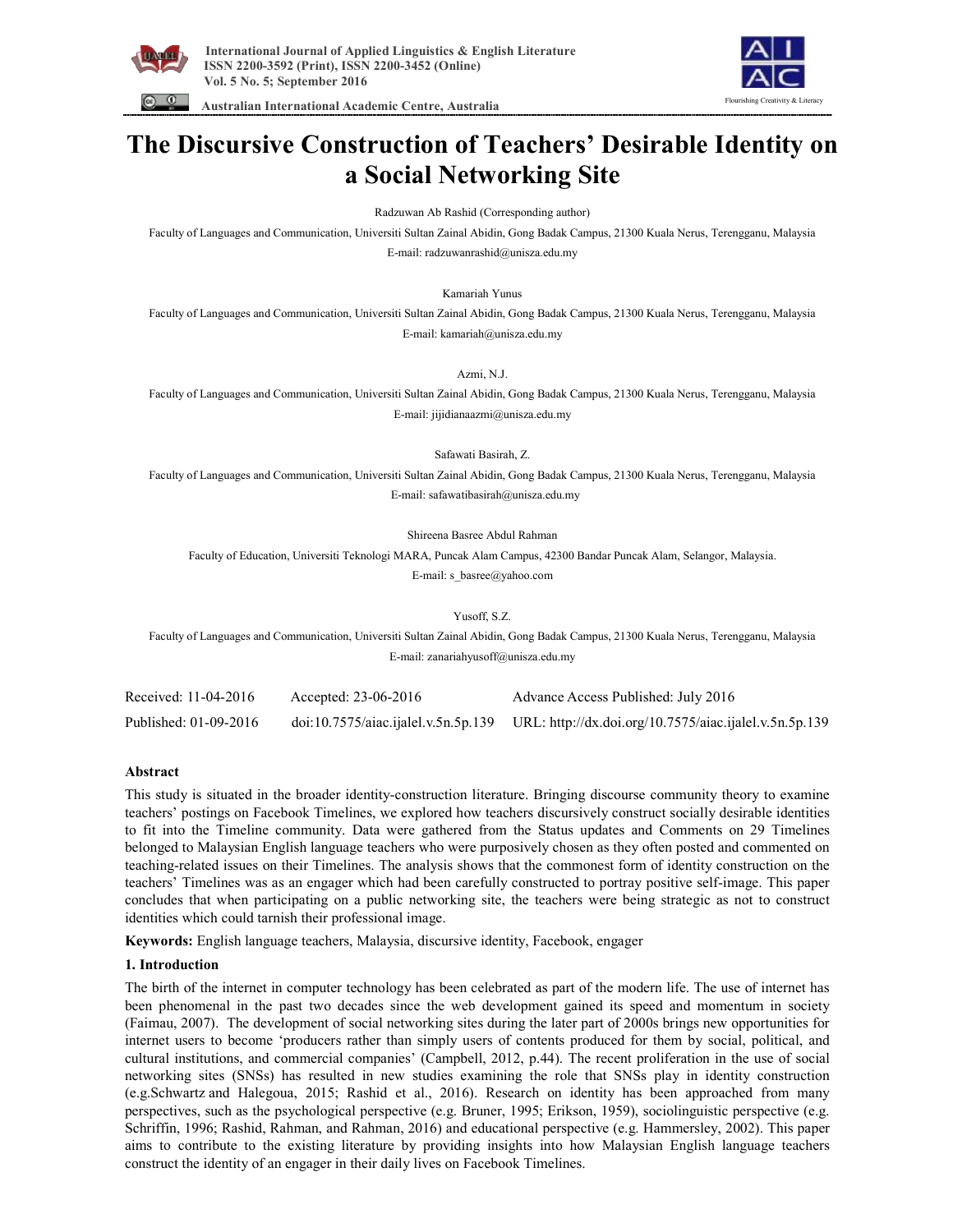

 **Australian International Academic Centre, Australia** 



# **The Discursive Construction of Teachers' Desirable Identity on a Social Networking Site**

Radzuwan Ab Rashid (Corresponding author)

Faculty of Languages and Communication, Universiti Sultan Zainal Abidin, Gong Badak Campus, 21300 Kuala Nerus, Terengganu, Malaysia E-mail: radzuwanrashid@unisza.edu.my

Kamariah Yunus

Faculty of Languages and Communication, Universiti Sultan Zainal Abidin, Gong Badak Campus, 21300 Kuala Nerus, Terengganu, Malaysia E-mail: kamariah@unisza.edu.my

Azmi, N.J.

Faculty of Languages and Communication, Universiti Sultan Zainal Abidin, Gong Badak Campus, 21300 Kuala Nerus, Terengganu, Malaysia E-mail: jijidianaazmi@unisza.edu.my

Safawati Basirah, Z.

Faculty of Languages and Communication, Universiti Sultan Zainal Abidin, Gong Badak Campus, 21300 Kuala Nerus, Terengganu, Malaysia E-mail: safawatibasirah@unisza.edu.my

Shireena Basree Abdul Rahman

Faculty of Education, Universiti Teknologi MARA, Puncak Alam Campus, 42300 Bandar Puncak Alam, Selangor, Malaysia. E-mail: s\_basree@yahoo.com

Yusoff, S.Z.

Faculty of Languages and Communication, Universiti Sultan Zainal Abidin, Gong Badak Campus, 21300 Kuala Nerus, Terengganu, Malaysia E-mail: zanariahyusoff@unisza.edu.my

| Received: 11-04-2016  | Accepted: 23-06-2016 | Advance Access Published: July 2016                                                        |
|-----------------------|----------------------|--------------------------------------------------------------------------------------------|
| Published: 01-09-2016 |                      | doi:10.7575/aiac.ijalel.v.5n.5p.139 URL: http://dx.doi.org/10.7575/aiac.ijalel.v.5n.5p.139 |

## **Abstract**

This study is situated in the broader identity-construction literature. Bringing discourse community theory to examine teachers' postings on Facebook Timelines, we explored how teachers discursively construct socially desirable identities to fit into the Timeline community. Data were gathered from the Status updates and Comments on 29 Timelines belonged to Malaysian English language teachers who were purposively chosen as they often posted and commented on teaching-related issues on their Timelines. The analysis shows that the commonest form of identity construction on the teachers' Timelines was as an engager which had been carefully constructed to portray positive self-image. This paper concludes that when participating on a public networking site, the teachers were being strategic as not to construct identities which could tarnish their professional image.

**Keywords:** English language teachers, Malaysia, discursive identity, Facebook, engager

## **1. Introduction**

The birth of the internet in computer technology has been celebrated as part of the modern life. The use of internet has been phenomenal in the past two decades since the web development gained its speed and momentum in society (Faimau, 2007). The development of social networking sites during the later part of 2000s brings new opportunities for internet users to become 'producers rather than simply users of contents produced for them by social, political, and cultural institutions, and commercial companies' (Campbell, 2012, p.44). The recent proliferation in the use of social networking sites (SNSs) has resulted in new studies examining the role that SNSs play in identity construction (e.g.Schwartz and Halegoua, 2015; Rashid et al., 2016). Research on identity has been approached from many perspectives, such as the psychological perspective (e.g. Bruner, 1995; Erikson, 1959), sociolinguistic perspective (e.g. Schriffin, 1996; Rashid, Rahman, and Rahman, 2016) and educational perspective (e.g. Hammersley, 2002). This paper aims to contribute to the existing literature by providing insights into how Malaysian English language teachers construct the identity of an engager in their daily lives on Facebook Timelines.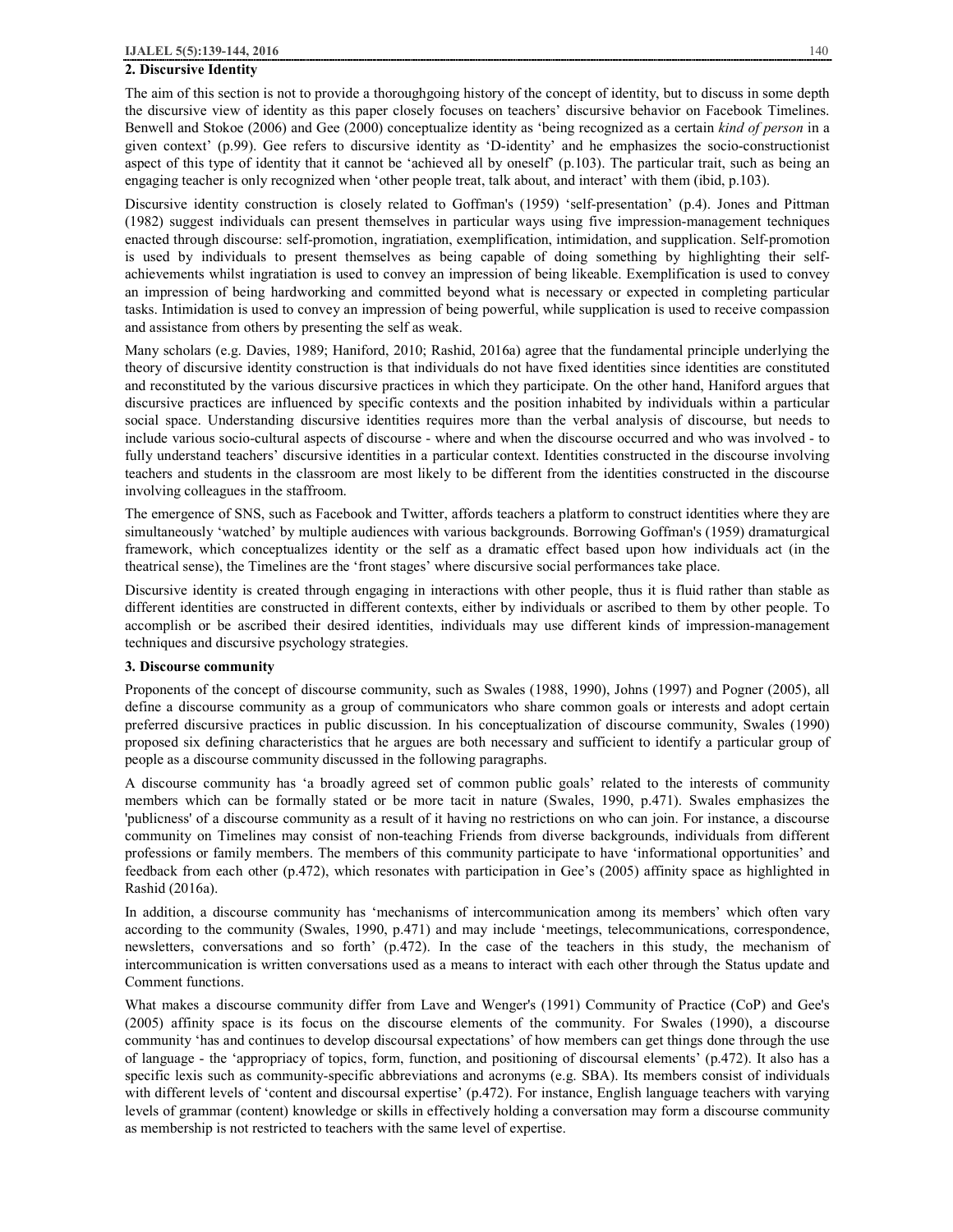# **2. Discursive Identity**

The aim of this section is not to provide a thoroughgoing history of the concept of identity, but to discuss in some depth the discursive view of identity as this paper closely focuses on teachers' discursive behavior on Facebook Timelines. Benwell and Stokoe (2006) and Gee (2000) conceptualize identity as 'being recognized as a certain *kind of person* in a given context' (p.99). Gee refers to discursive identity as 'D-identity' and he emphasizes the socio-constructionist aspect of this type of identity that it cannot be 'achieved all by oneself' (p.103). The particular trait, such as being an engaging teacher is only recognized when 'other people treat, talk about, and interact' with them (ibid, p.103).

Discursive identity construction is closely related to Goffman's (1959) 'self-presentation' (p.4). Jones and Pittman (1982) suggest individuals can present themselves in particular ways using five impression-management techniques enacted through discourse: self-promotion, ingratiation, exemplification, intimidation, and supplication. Self-promotion is used by individuals to present themselves as being capable of doing something by highlighting their selfachievements whilst ingratiation is used to convey an impression of being likeable. Exemplification is used to convey an impression of being hardworking and committed beyond what is necessary or expected in completing particular tasks. Intimidation is used to convey an impression of being powerful, while supplication is used to receive compassion and assistance from others by presenting the self as weak.

Many scholars (e.g. Davies, 1989; Haniford, 2010; Rashid, 2016a) agree that the fundamental principle underlying the theory of discursive identity construction is that individuals do not have fixed identities since identities are constituted and reconstituted by the various discursive practices in which they participate. On the other hand, Haniford argues that discursive practices are influenced by specific contexts and the position inhabited by individuals within a particular social space. Understanding discursive identities requires more than the verbal analysis of discourse, but needs to include various socio-cultural aspects of discourse - where and when the discourse occurred and who was involved - to fully understand teachers' discursive identities in a particular context. Identities constructed in the discourse involving teachers and students in the classroom are most likely to be different from the identities constructed in the discourse involving colleagues in the staffroom.

The emergence of SNS, such as Facebook and Twitter, affords teachers a platform to construct identities where they are simultaneously 'watched' by multiple audiences with various backgrounds. Borrowing Goffman's (1959) dramaturgical framework, which conceptualizes identity or the self as a dramatic effect based upon how individuals act (in the theatrical sense), the Timelines are the 'front stages' where discursive social performances take place.

Discursive identity is created through engaging in interactions with other people, thus it is fluid rather than stable as different identities are constructed in different contexts, either by individuals or ascribed to them by other people. To accomplish or be ascribed their desired identities, individuals may use different kinds of impression-management techniques and discursive psychology strategies.

## **3. Discourse community**

Proponents of the concept of discourse community, such as Swales (1988, 1990), Johns (1997) and Pogner (2005), all define a discourse community as a group of communicators who share common goals or interests and adopt certain preferred discursive practices in public discussion. In his conceptualization of discourse community, Swales (1990) proposed six defining characteristics that he argues are both necessary and sufficient to identify a particular group of people as a discourse community discussed in the following paragraphs.

A discourse community has 'a broadly agreed set of common public goals' related to the interests of community members which can be formally stated or be more tacit in nature (Swales, 1990, p.471). Swales emphasizes the 'publicness' of a discourse community as a result of it having no restrictions on who can join. For instance, a discourse community on Timelines may consist of non-teaching Friends from diverse backgrounds, individuals from different professions or family members. The members of this community participate to have 'informational opportunities' and feedback from each other (p.472), which resonates with participation in Gee's (2005) affinity space as highlighted in Rashid (2016a).

In addition, a discourse community has 'mechanisms of intercommunication among its members' which often vary according to the community (Swales, 1990, p.471) and may include 'meetings, telecommunications, correspondence, newsletters, conversations and so forth' (p.472). In the case of the teachers in this study, the mechanism of intercommunication is written conversations used as a means to interact with each other through the Status update and Comment functions.

What makes a discourse community differ from Lave and Wenger's (1991) Community of Practice (CoP) and Gee's (2005) affinity space is its focus on the discourse elements of the community. For Swales (1990), a discourse community 'has and continues to develop discoursal expectations' of how members can get things done through the use of language - the 'appropriacy of topics, form, function, and positioning of discoursal elements' (p.472). It also has a specific lexis such as community-specific abbreviations and acronyms (e.g. SBA). Its members consist of individuals with different levels of 'content and discoursal expertise' (p.472). For instance, English language teachers with varying levels of grammar (content) knowledge or skills in effectively holding a conversation may form a discourse community as membership is not restricted to teachers with the same level of expertise.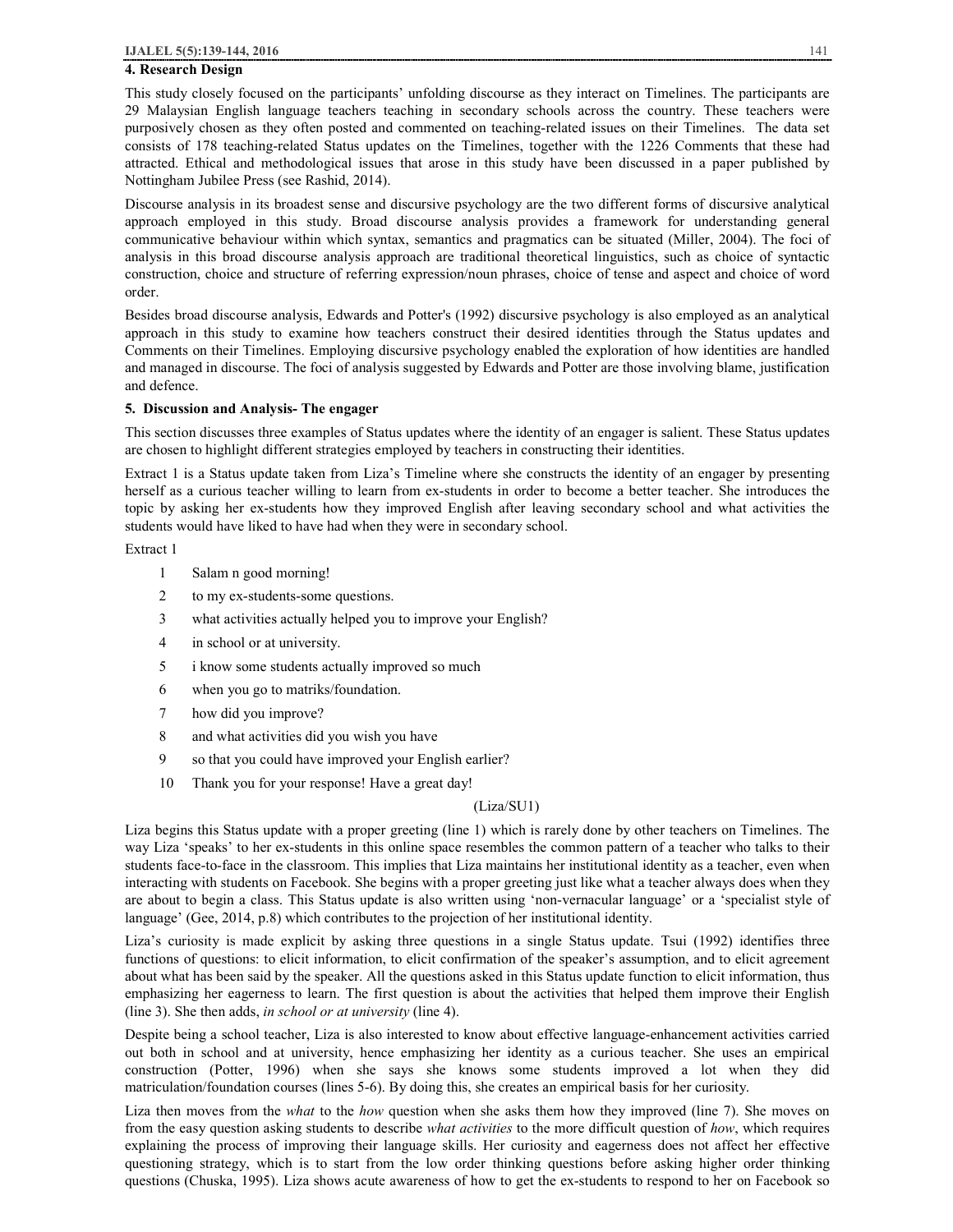# **4. Research Design**

This study closely focused on the participants' unfolding discourse as they interact on Timelines. The participants are 29 Malaysian English language teachers teaching in secondary schools across the country. These teachers were purposively chosen as they often posted and commented on teaching-related issues on their Timelines. The data set consists of 178 teaching-related Status updates on the Timelines, together with the 1226 Comments that these had attracted. Ethical and methodological issues that arose in this study have been discussed in a paper published by Nottingham Jubilee Press (see Rashid, 2014).

Discourse analysis in its broadest sense and discursive psychology are the two different forms of discursive analytical approach employed in this study. Broad discourse analysis provides a framework for understanding general communicative behaviour within which syntax, semantics and pragmatics can be situated (Miller, 2004). The foci of analysis in this broad discourse analysis approach are traditional theoretical linguistics, such as choice of syntactic construction, choice and structure of referring expression/noun phrases, choice of tense and aspect and choice of word order.

Besides broad discourse analysis, Edwards and Potter's (1992) discursive psychology is also employed as an analytical approach in this study to examine how teachers construct their desired identities through the Status updates and Comments on their Timelines. Employing discursive psychology enabled the exploration of how identities are handled and managed in discourse. The foci of analysis suggested by Edwards and Potter are those involving blame, justification and defence.

#### **5. Discussion and Analysis- The engager**

This section discusses three examples of Status updates where the identity of an engager is salient. These Status updates are chosen to highlight different strategies employed by teachers in constructing their identities.

Extract 1 is a Status update taken from Liza's Timeline where she constructs the identity of an engager by presenting herself as a curious teacher willing to learn from ex-students in order to become a better teacher. She introduces the topic by asking her ex-students how they improved English after leaving secondary school and what activities the students would have liked to have had when they were in secondary school.

Extract 1

- 1 Salam n good morning!
- 2 to my ex-students-some questions.
- 3 what activities actually helped you to improve your English?
- 4 in school or at university.
- 5 i know some students actually improved so much
- 6 when you go to matriks/foundation.
- 7 how did you improve?
- 8 and what activities did you wish you have
- 9 so that you could have improved your English earlier?
- 10 Thank you for your response! Have a great day!

#### (Liza/SU1)

Liza begins this Status update with a proper greeting (line 1) which is rarely done by other teachers on Timelines. The way Liza 'speaks' to her ex-students in this online space resembles the common pattern of a teacher who talks to their students face-to-face in the classroom. This implies that Liza maintains her institutional identity as a teacher, even when interacting with students on Facebook. She begins with a proper greeting just like what a teacher always does when they are about to begin a class. This Status update is also written using 'non-vernacular language' or a 'specialist style of language' (Gee, 2014, p.8) which contributes to the projection of her institutional identity.

Liza's curiosity is made explicit by asking three questions in a single Status update. Tsui (1992) identifies three functions of questions: to elicit information, to elicit confirmation of the speaker's assumption, and to elicit agreement about what has been said by the speaker. All the questions asked in this Status update function to elicit information, thus emphasizing her eagerness to learn. The first question is about the activities that helped them improve their English (line 3). She then adds, *in school or at university* (line 4).

Despite being a school teacher, Liza is also interested to know about effective language-enhancement activities carried out both in school and at university, hence emphasizing her identity as a curious teacher. She uses an empirical construction (Potter, 1996) when she says she knows some students improved a lot when they did matriculation/foundation courses (lines 5-6). By doing this, she creates an empirical basis for her curiosity.

Liza then moves from the *what* to the *how* question when she asks them how they improved (line 7). She moves on from the easy question asking students to describe *what activities* to the more difficult question of *how*, which requires explaining the process of improving their language skills. Her curiosity and eagerness does not affect her effective questioning strategy, which is to start from the low order thinking questions before asking higher order thinking questions (Chuska, 1995). Liza shows acute awareness of how to get the ex-students to respond to her on Facebook so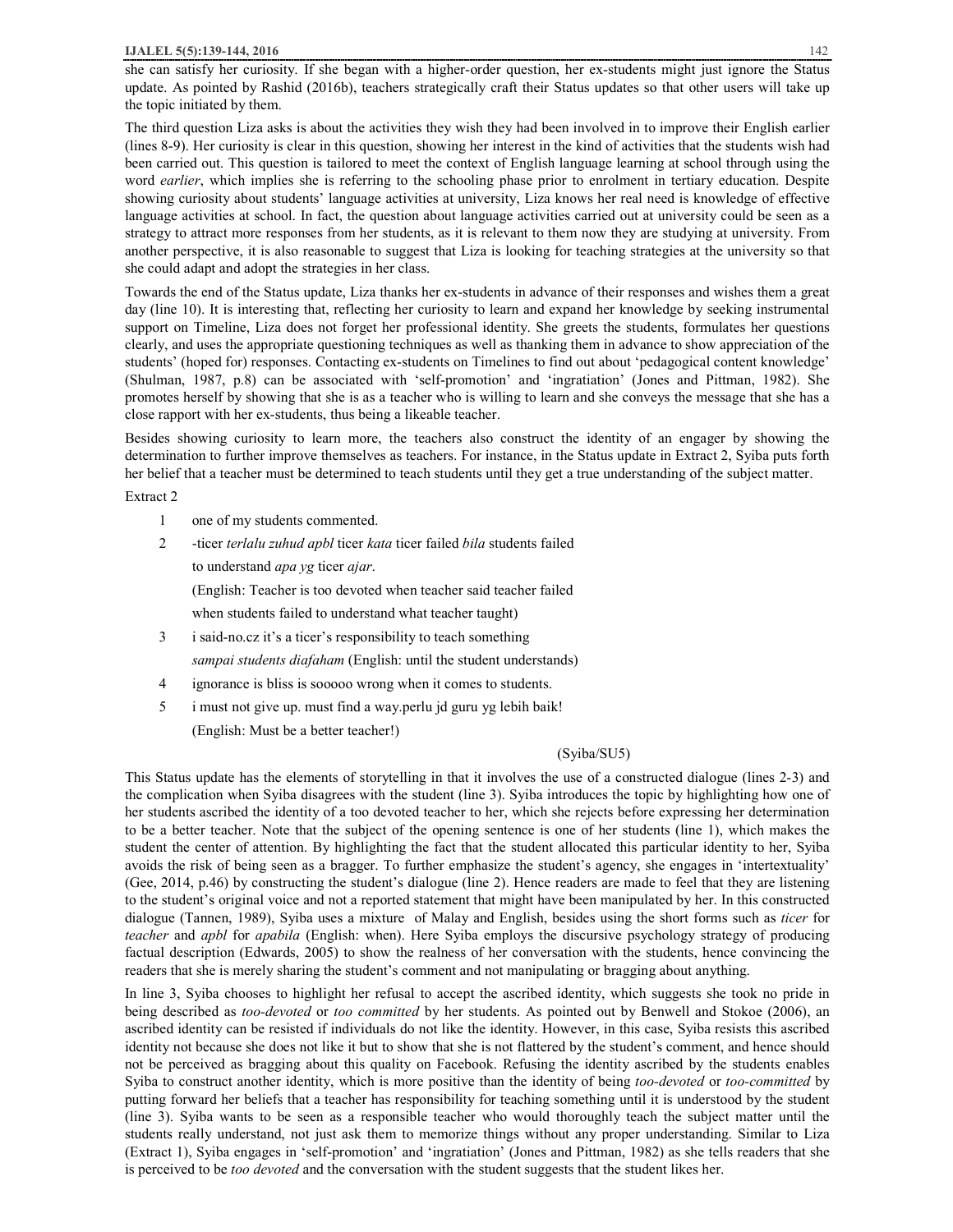she can satisfy her curiosity. If she began with a higher-order question, her ex-students might just ignore the Status update. As pointed by Rashid (2016b), teachers strategically craft their Status updates so that other users will take up the topic initiated by them.

The third question Liza asks is about the activities they wish they had been involved in to improve their English earlier (lines 8-9). Her curiosity is clear in this question, showing her interest in the kind of activities that the students wish had been carried out. This question is tailored to meet the context of English language learning at school through using the word *earlier*, which implies she is referring to the schooling phase prior to enrolment in tertiary education. Despite showing curiosity about students' language activities at university, Liza knows her real need is knowledge of effective language activities at school. In fact, the question about language activities carried out at university could be seen as a strategy to attract more responses from her students, as it is relevant to them now they are studying at university. From another perspective, it is also reasonable to suggest that Liza is looking for teaching strategies at the university so that she could adapt and adopt the strategies in her class.

Towards the end of the Status update, Liza thanks her ex-students in advance of their responses and wishes them a great day (line 10). It is interesting that, reflecting her curiosity to learn and expand her knowledge by seeking instrumental support on Timeline, Liza does not forget her professional identity. She greets the students, formulates her questions clearly, and uses the appropriate questioning techniques as well as thanking them in advance to show appreciation of the students' (hoped for) responses. Contacting ex-students on Timelines to find out about 'pedagogical content knowledge' (Shulman, 1987, p.8) can be associated with 'self-promotion' and 'ingratiation' (Jones and Pittman, 1982). She promotes herself by showing that she is as a teacher who is willing to learn and she conveys the message that she has a close rapport with her ex-students, thus being a likeable teacher.

Besides showing curiosity to learn more, the teachers also construct the identity of an engager by showing the determination to further improve themselves as teachers. For instance, in the Status update in Extract 2, Syiba puts forth her belief that a teacher must be determined to teach students until they get a true understanding of the subject matter.

Extract 2

- 1 one of my students commented.
- 2 -ticer *terlalu zuhud apbl* ticer *kata* ticer failed *bila* students failed to understand *apa yg* ticer *ajar*.

(English: Teacher is too devoted when teacher said teacher failed

when students failed to understand what teacher taught)

- 3 i said-no.cz it's a ticer's responsibility to teach something *sampai students diafaham* (English: until the student understands)
- 4 ignorance is bliss is sooooo wrong when it comes to students.
- 5 i must not give up. must find a way.perlu jd guru yg lebih baik!
	- (English: Must be a better teacher!)

## (Syiba/SU5)

This Status update has the elements of storytelling in that it involves the use of a constructed dialogue (lines 2-3) and the complication when Syiba disagrees with the student (line 3). Syiba introduces the topic by highlighting how one of her students ascribed the identity of a too devoted teacher to her, which she rejects before expressing her determination to be a better teacher. Note that the subject of the opening sentence is one of her students (line 1), which makes the student the center of attention. By highlighting the fact that the student allocated this particular identity to her, Syiba avoids the risk of being seen as a bragger. To further emphasize the student's agency, she engages in 'intertextuality' (Gee, 2014, p.46) by constructing the student's dialogue (line 2). Hence readers are made to feel that they are listening to the student's original voice and not a reported statement that might have been manipulated by her. In this constructed dialogue (Tannen, 1989), Syiba uses a mixture of Malay and English, besides using the short forms such as *ticer* for *teacher* and *apbl* for *apabila* (English: when). Here Syiba employs the discursive psychology strategy of producing factual description (Edwards, 2005) to show the realness of her conversation with the students, hence convincing the readers that she is merely sharing the student's comment and not manipulating or bragging about anything.

In line 3, Syiba chooses to highlight her refusal to accept the ascribed identity, which suggests she took no pride in being described as *too-devoted* or *too committed* by her students. As pointed out by Benwell and Stokoe (2006), an ascribed identity can be resisted if individuals do not like the identity. However, in this case, Syiba resists this ascribed identity not because she does not like it but to show that she is not flattered by the student's comment, and hence should not be perceived as bragging about this quality on Facebook. Refusing the identity ascribed by the students enables Syiba to construct another identity, which is more positive than the identity of being *too-devoted* or *too-committed* by putting forward her beliefs that a teacher has responsibility for teaching something until it is understood by the student (line 3). Syiba wants to be seen as a responsible teacher who would thoroughly teach the subject matter until the students really understand, not just ask them to memorize things without any proper understanding. Similar to Liza (Extract 1), Syiba engages in 'self-promotion' and 'ingratiation' (Jones and Pittman, 1982) as she tells readers that she is perceived to be *too devoted* and the conversation with the student suggests that the student likes her.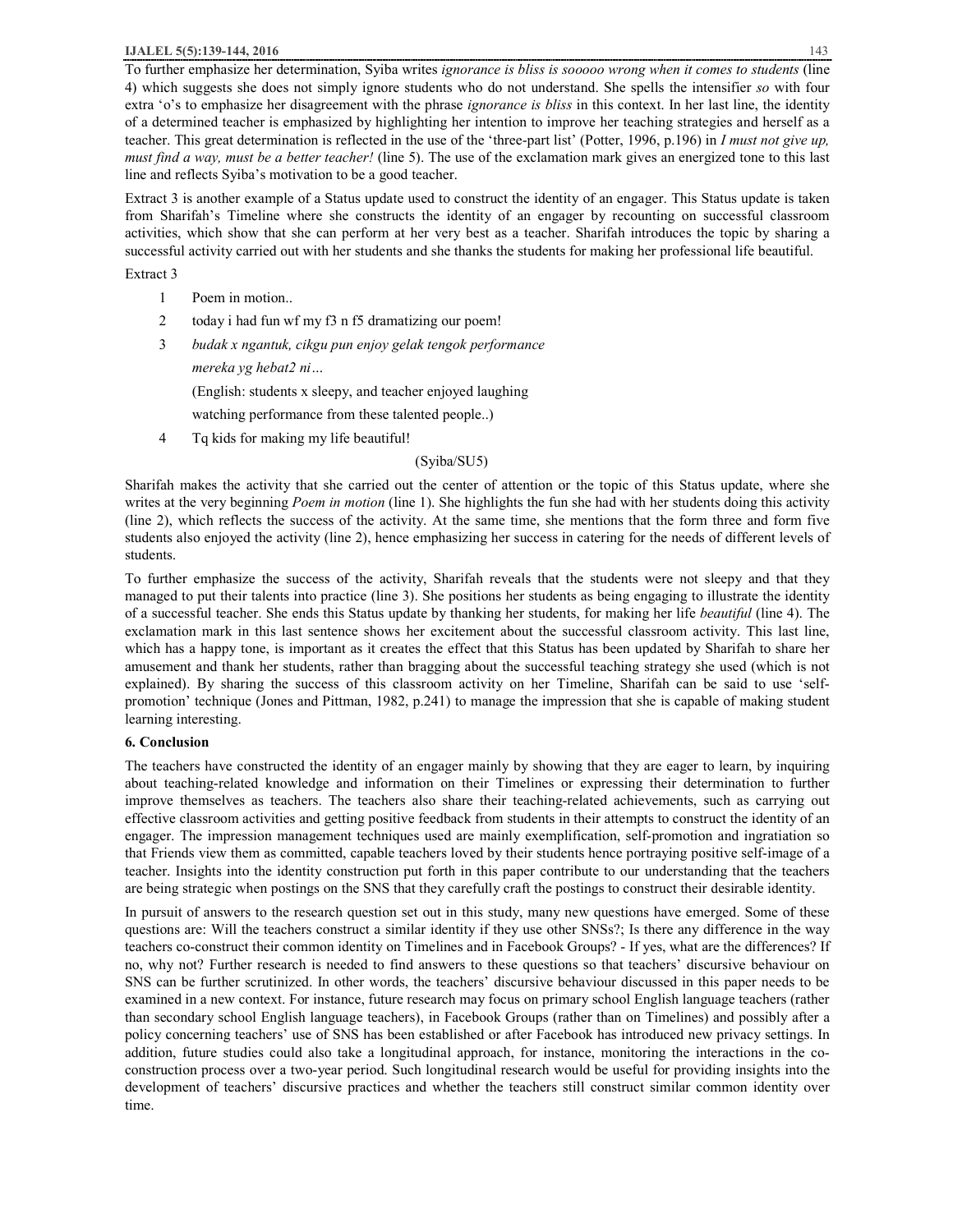To further emphasize her determination, Syiba writes *ignorance is bliss is sooooo wrong when it comes to students* (line 4) which suggests she does not simply ignore students who do not understand. She spells the intensifier *so* with four extra 'o's to emphasize her disagreement with the phrase *ignorance is bliss* in this context. In her last line, the identity of a determined teacher is emphasized by highlighting her intention to improve her teaching strategies and herself as a teacher. This great determination is reflected in the use of the 'three-part list' (Potter, 1996, p.196) in *I must not give up, must find a way, must be a better teacher!* (line 5). The use of the exclamation mark gives an energized tone to this last line and reflects Syiba's motivation to be a good teacher.

Extract 3 is another example of a Status update used to construct the identity of an engager. This Status update is taken from Sharifah's Timeline where she constructs the identity of an engager by recounting on successful classroom activities, which show that she can perform at her very best as a teacher. Sharifah introduces the topic by sharing a successful activity carried out with her students and she thanks the students for making her professional life beautiful.

Extract 3

- 1 Poem in motion..
- 2 today i had fun wf my f3 n f5 dramatizing our poem!
- 3 *budak x ngantuk, cikgu pun enjoy gelak tengok performance*

*mereka yg hebat2 ni…* 

(English: students x sleepy, and teacher enjoyed laughing

watching performance from these talented people..)

4 Tq kids for making my life beautiful!

# (Syiba/SU5)

Sharifah makes the activity that she carried out the center of attention or the topic of this Status update, where she writes at the very beginning *Poem in motion* (line 1). She highlights the fun she had with her students doing this activity (line 2), which reflects the success of the activity. At the same time, she mentions that the form three and form five students also enjoyed the activity (line 2), hence emphasizing her success in catering for the needs of different levels of students.

To further emphasize the success of the activity, Sharifah reveals that the students were not sleepy and that they managed to put their talents into practice (line 3). She positions her students as being engaging to illustrate the identity of a successful teacher. She ends this Status update by thanking her students, for making her life *beautiful* (line 4). The exclamation mark in this last sentence shows her excitement about the successful classroom activity. This last line, which has a happy tone, is important as it creates the effect that this Status has been updated by Sharifah to share her amusement and thank her students, rather than bragging about the successful teaching strategy she used (which is not explained). By sharing the success of this classroom activity on her Timeline, Sharifah can be said to use 'selfpromotion' technique (Jones and Pittman, 1982, p.241) to manage the impression that she is capable of making student learning interesting.

# **6. Conclusion**

The teachers have constructed the identity of an engager mainly by showing that they are eager to learn, by inquiring about teaching-related knowledge and information on their Timelines or expressing their determination to further improve themselves as teachers. The teachers also share their teaching-related achievements, such as carrying out effective classroom activities and getting positive feedback from students in their attempts to construct the identity of an engager. The impression management techniques used are mainly exemplification, self-promotion and ingratiation so that Friends view them as committed, capable teachers loved by their students hence portraying positive self-image of a teacher. Insights into the identity construction put forth in this paper contribute to our understanding that the teachers are being strategic when postings on the SNS that they carefully craft the postings to construct their desirable identity.

In pursuit of answers to the research question set out in this study, many new questions have emerged. Some of these questions are: Will the teachers construct a similar identity if they use other SNSs?; Is there any difference in the way teachers co-construct their common identity on Timelines and in Facebook Groups? - If yes, what are the differences? If no, why not? Further research is needed to find answers to these questions so that teachers' discursive behaviour on SNS can be further scrutinized. In other words, the teachers' discursive behaviour discussed in this paper needs to be examined in a new context. For instance, future research may focus on primary school English language teachers (rather than secondary school English language teachers), in Facebook Groups (rather than on Timelines) and possibly after a policy concerning teachers' use of SNS has been established or after Facebook has introduced new privacy settings. In addition, future studies could also take a longitudinal approach, for instance, monitoring the interactions in the coconstruction process over a two-year period. Such longitudinal research would be useful for providing insights into the development of teachers' discursive practices and whether the teachers still construct similar common identity over time.